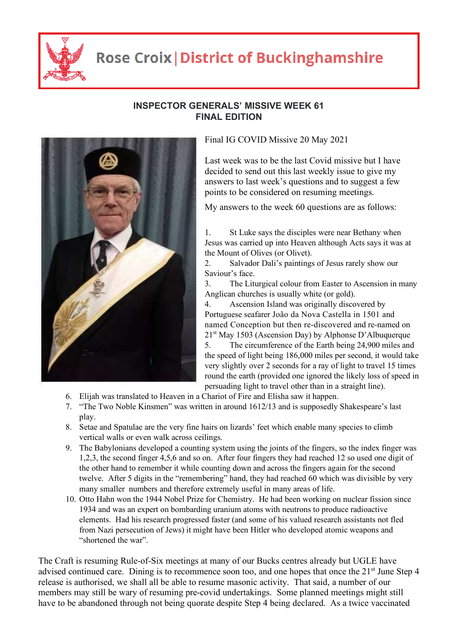

## **Rose Croix | District of Buckinghamshire**



## **INSPECTOR GENERALS' MISSIVE WEEK 61 FINAL EDITION**

Final IG COVID Missive 20 May 2021

Last week was to be the last Covid missive but I have decided to send out this last weekly issue to give my answers to last week's questions and to suggest a few points to be considered on resuming meetings.

My answers to the week 60 questions are as follows:

1. St Luke says the disciples were near Bethany when Jesus was carried up into Heaven although Acts says it was at the Mount of Olives (or Olivet).

2. Salvador Dali's paintings of Jesus rarely show our Saviour's face.

3. The Liturgical colour from Easter to Ascension in many Anglican churches is usually white (or gold).

4. Ascension Island was originally discovered by Portuguese seafarer João da Nova Castella in 1501 and named Conception but then re-discovered and re-named on  $21<sup>st</sup>$  May 1503 (Ascension Day) by Alphonse D'Albuquerque 5. The circumference of the Earth being 24,900 miles and the speed of light being 186,000 miles per second, it would take very slightly over 2 seconds for a ray of light to travel 15 times round the earth (provided one ignored the likely loss of speed in persuading light to travel other than in a straight line).

- 6. Elijah was translated to Heaven in a Chariot of Fire and Elisha saw it happen.
- 7. "The Two Noble Kinsmen" was written in around 1612/13 and is supposedly Shakespeare's last play.
- 8. Setae and Spatulae are the very fine hairs on lizards' feet which enable many species to climb vertical walls or even walk across ceilings.
- 9. The Babylonians developed a counting system using the joints of the fingers, so the index finger was 1,2,3, the second finger 4,5,6 and so on. After four fingers they had reached 12 so used one digit of the other hand to remember it while counting down and across the fingers again for the second twelve. After 5 digits in the "remembering" hand, they had reached 60 which was divisible by very many smaller numbers and therefore extremely useful in many areas of life.
- 10. Otto Hahn won the 1944 Nobel Prize for Chemistry. He had been working on nuclear fission since 1934 and was an expert on bombarding uranium atoms with neutrons to produce radioactive elements. Had his research progressed faster (and some of his valued research assistants not fled from Nazi persecution of Jews) it might have been Hitler who developed atomic weapons and "shortened the war".

The Craft is resuming Rule-of-Six meetings at many of our Bucks centres already but UGLE have advised continued care. Dining is to recommence soon too, and one hopes that once the 21<sup>st</sup> June Step 4 release is authorised, we shall all be able to resume masonic activity. That said, a number of our members may still be wary of resuming pre-covid undertakings. Some planned meetings might still have to be abandoned through not being quorate despite Step 4 being declared. As a twice vaccinated